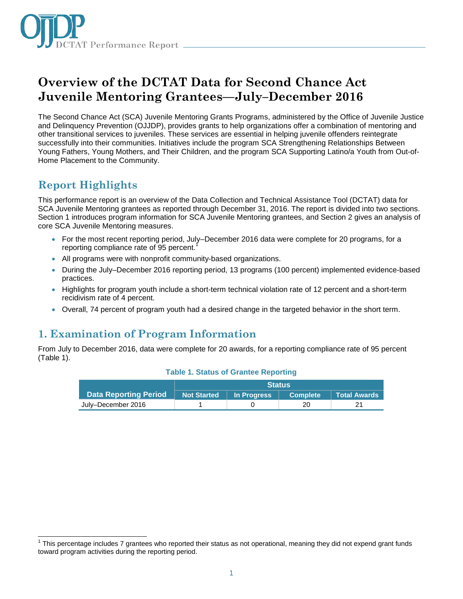

# **Overview of the DCTAT Data for Second Chance Act Juvenile Mentoring Grantees—July–December 2016**

The Second Chance Act (SCA) Juvenile Mentoring Grants Programs, administered by the Office of Juvenile Justice and Delinquency Prevention (OJJDP), provides grants to help organizations offer a combination of mentoring and other transitional services to juveniles. These services are essential in helping juvenile offenders reintegrate successfully into their communities. Initiatives include the program SCA Strengthening Relationships Between Young Fathers, Young Mothers, and Their Children, and the program SCA Supporting Latino/a Youth from Out-of-Home Placement to the Community.

# **Report Highlights**

This performance report is an overview of the Data Collection and Technical Assistance Tool (DCTAT) data for SCA Juvenile Mentoring grantees as reported through December 31, 2016. The report is divided into two sections. Section 1 introduces program information for SCA Juvenile Mentoring grantees, and Section 2 gives an analysis of core SCA Juvenile Mentoring measures.

- For the most recent reporting period, July–December 2016 data were complete for 20 programs, for a reporting compliance rate of 95 percent.
- All programs were with nonprofit community-based organizations.
- During the July–December 2016 reporting period, 13 programs (100 percent) implemented evidence-based practices.
- Highlights for program youth include a short-term technical violation rate of 12 percent and a short-term recidivism rate of 4 percent.
- Overall, 74 percent of program youth had a desired change in the targeted behavior in the short term.

# **1. Examination of Program Information**

From July to December 2016, data were complete for 20 awards, for a reporting compliance rate of 95 percent (Table 1).

|                              | <b>Status</b> |             |                       |                |
|------------------------------|---------------|-------------|-----------------------|----------------|
| <b>Data Reporting Period</b> | Not Started   | In Progress | Complete <sup>1</sup> | ∣ Total Awards |
| July-December 2016           |               |             | 20                    |                |

#### **Table 1. Status of Grantee Reporting**

j  $1$  This percentage includes 7 grantees who reported their status as not operational, meaning they did not expend grant funds toward program activities during the reporting period.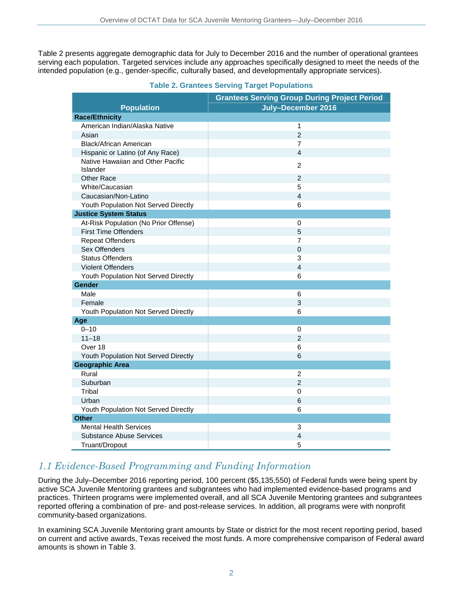Table 2 presents aggregate demographic data for July to December 2016 and the number of operational grantees serving each population. Targeted services include any approaches specifically designed to meet the needs of the intended population (e.g., gender-specific, culturally based, and developmentally appropriate services).

|                                               | <b>Grantees Serving Group During Project Period</b> |
|-----------------------------------------------|-----------------------------------------------------|
| <b>Population</b>                             | July-December 2016                                  |
| <b>Race/Ethnicity</b>                         |                                                     |
| American Indian/Alaska Native                 | 1                                                   |
| Asian                                         | $\overline{2}$                                      |
| Black/African American                        | $\overline{7}$                                      |
| Hispanic or Latino (of Any Race)              | 4                                                   |
| Native Hawaiian and Other Pacific<br>Islander | $\overline{2}$                                      |
| <b>Other Race</b>                             | 2                                                   |
| White/Caucasian                               | 5                                                   |
| Caucasian/Non-Latino                          | $\overline{4}$                                      |
| Youth Population Not Served Directly          | 6                                                   |
| <b>Justice System Status</b>                  |                                                     |
| At-Risk Population (No Prior Offense)         | 0                                                   |
| <b>First Time Offenders</b>                   | 5                                                   |
| <b>Repeat Offenders</b>                       | 7                                                   |
| Sex Offenders                                 | 0                                                   |
| <b>Status Offenders</b>                       | 3                                                   |
| <b>Violent Offenders</b>                      | 4                                                   |
| Youth Population Not Served Directly          | 6                                                   |
| <b>Gender</b>                                 |                                                     |
| Male                                          | 6                                                   |
| Female                                        | 3                                                   |
| Youth Population Not Served Directly          | 6                                                   |
| Age                                           |                                                     |
| $0 - 10$                                      | 0                                                   |
| $11 - 18$                                     | $\overline{2}$                                      |
| Over 18                                       | 6                                                   |
| Youth Population Not Served Directly          | 6                                                   |
| <b>Geographic Area</b>                        |                                                     |
| Rural                                         | $\overline{c}$                                      |
| Suburban                                      | $\overline{2}$                                      |
| Tribal                                        | 0                                                   |
| Urban                                         | 6                                                   |
| Youth Population Not Served Directly          | 6                                                   |
| <b>Other</b>                                  |                                                     |
| <b>Mental Health Services</b>                 | 3                                                   |
| <b>Substance Abuse Services</b>               | 4                                                   |
| Truant/Dropout                                | 5                                                   |

### **Table 2. Grantees Serving Target Populations**

### *1.1 Evidence-Based Programming and Funding Information*

During the July–December 2016 reporting period, 100 percent (\$5,135,550) of Federal funds were being spent by active SCA Juvenile Mentoring grantees and subgrantees who had implemented evidence-based programs and practices. Thirteen programs were implemented overall, and all SCA Juvenile Mentoring grantees and subgrantees reported offering a combination of pre- and post-release services. In addition, all programs were with nonprofit community-based organizations.

In examining SCA Juvenile Mentoring grant amounts by State or district for the most recent reporting period, based on current and active awards, Texas received the most funds. A more comprehensive comparison of Federal award amounts is shown in Table 3.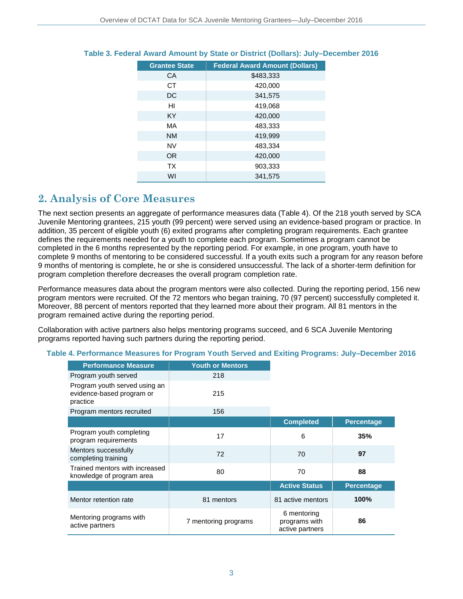| <b>Grantee State</b> | <b>Federal Award Amount (Dollars)</b> |
|----------------------|---------------------------------------|
| CA                   | \$483,333                             |
| <b>CT</b>            | 420,000                               |
| DC                   | 341,575                               |
| HI                   | 419,068                               |
| <b>KY</b>            | 420,000                               |
| MA                   | 483,333                               |
| <b>NM</b>            | 419,999                               |
| <b>NV</b>            | 483,334                               |
| <b>OR</b>            | 420,000                               |
| <b>TX</b>            | 903,333                               |
| WI                   | 341,575                               |

### **Table 3. Federal Award Amount by State or District (Dollars): July–December 2016**

# **2. Analysis of Core Measures**

The next section presents an aggregate of performance measures data (Table 4). Of the 218 youth served by SCA Juvenile Mentoring grantees, 215 youth (99 percent) were served using an evidence-based program or practice. In addition, 35 percent of eligible youth (6) exited programs after completing program requirements. Each grantee defines the requirements needed for a youth to complete each program. Sometimes a program cannot be completed in the 6 months represented by the reporting period. For example, in one program, youth have to complete 9 months of mentoring to be considered successful. If a youth exits such a program for any reason before 9 months of mentoring is complete, he or she is considered unsuccessful. The lack of a shorter-term definition for program completion therefore decreases the overall program completion rate.

Performance measures data about the program mentors were also collected. During the reporting period, 156 new program mentors were recruited. Of the 72 mentors who began training, 70 (97 percent) successfully completed it. Moreover, 88 percent of mentors reported that they learned more about their program. All 81 mentors in the program remained active during the reporting period.

Collaboration with active partners also helps mentoring programs succeed, and 6 SCA Juvenile Mentoring programs reported having such partners during the reporting period.

| <b>Performance Measure</b>                                             | <b>Youth or Mentors</b> |                                                 |                   |
|------------------------------------------------------------------------|-------------------------|-------------------------------------------------|-------------------|
| Program youth served                                                   | 218                     |                                                 |                   |
| Program youth served using an<br>evidence-based program or<br>practice | 215                     |                                                 |                   |
| Program mentors recruited                                              | 156                     |                                                 |                   |
|                                                                        |                         | <b>Completed</b>                                | <b>Percentage</b> |
| Program youth completing<br>program requirements                       | 17                      | 6                                               | 35%               |
| Mentors successfully<br>completing training                            | 72                      | 70                                              | 97                |
| Trained mentors with increased<br>knowledge of program area            | 80                      | 70                                              | 88                |
|                                                                        |                         | <b>Active Status</b>                            | <b>Percentage</b> |
| Mentor retention rate                                                  | 81 mentors              | 81 active mentors                               | 100%              |
| Mentoring programs with<br>active partners                             | 7 mentoring programs    | 6 mentoring<br>programs with<br>active partners | 86                |

#### **Table 4. Performance Measures for Program Youth Served and Exiting Programs: July–December 2016**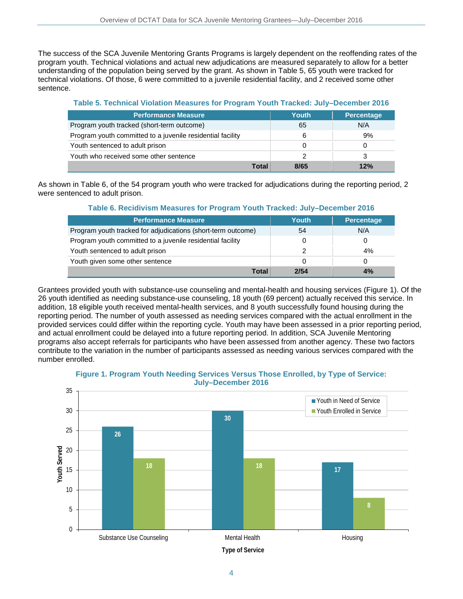The success of the SCA Juvenile Mentoring Grants Programs is largely dependent on the reoffending rates of the program youth. Technical violations and actual new adjudications are measured separately to allow for a better understanding of the population being served by the grant. As shown in Table 5, 65 youth were tracked for technical violations. Of those, 6 were committed to a juvenile residential facility, and 2 received some other sentence.

#### **Table 5. Technical Violation Measures for Program Youth Tracked: July–December 2016**

| <b>Performance Measure</b>                                 | Youth | <b>Percentage</b> |
|------------------------------------------------------------|-------|-------------------|
| Program youth tracked (short-term outcome)                 | 65    | N/A               |
| Program youth committed to a juvenile residential facility | 6     | 9%                |
| Youth sentenced to adult prison                            | 0     |                   |
| Youth who received some other sentence                     |       | 3                 |
| Total                                                      | 8/65  | 12%               |

As shown in Table 6, of the 54 program youth who were tracked for adjudications during the reporting period, 2 were sentenced to adult prison.

#### **Table 6. Recidivism Measures for Program Youth Tracked: July–December 2016**

| <b>Performance Measure</b>                                   | Youth | Percentage |
|--------------------------------------------------------------|-------|------------|
| Program youth tracked for adjudications (short-term outcome) | 54    | N/A        |
| Program youth committed to a juvenile residential facility   |       |            |
| Youth sentenced to adult prison                              | 2     | 4%         |
| Youth given some other sentence                              |       |            |
| Total                                                        | 2/54  | 4%         |

Grantees provided youth with substance-use counseling and mental-health and housing services (Figure 1). Of the 26 youth identified as needing substance-use counseling, 18 youth (69 percent) actually received this service. In addition, 18 eligible youth received mental-health services, and 8 youth successfully found housing during the reporting period. The number of youth assessed as needing services compared with the actual enrollment in the provided services could differ within the reporting cycle. Youth may have been assessed in a prior reporting period, and actual enrollment could be delayed into a future reporting period. In addition, SCA Juvenile Mentoring programs also accept referrals for participants who have been assessed from another agency. These two factors contribute to the variation in the number of participants assessed as needing various services compared with the number enrolled.



#### **Figure 1. Program Youth Needing Services Versus Those Enrolled, by Type of Service: July–December 2016**